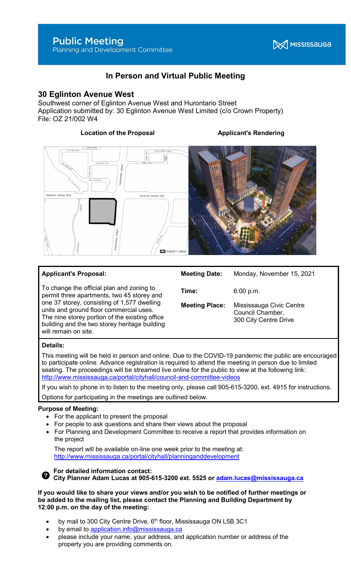# In Person and Virtual Public Meeting

# 30 Eglinton Avenue West

Southwest corner of Eglinton Avenue West and Hurontario Street Application submitted by: 30 Eglinton Avenue West Limited (c/o Crown Property) File: OZ 21/002 W4

# Location of the Proposal **Applicant's Rendering**





# Applicant's Proposal:

To change the official plan and zoning to permit three apartments, two 45 storey and one 37 storey, consisting of 1,577 dwelling units and ground floor commercial uses. The nine storey portion of the existing office building and the two storey heritage building will remain on site.

| Meeting Place: | Mississauga Civic Centre |
|----------------|--------------------------|
|                | Council Chamber,         |
|                | 300 City Centre Drive    |

# Details:

This meeting will be held in person and online. Due to the COVID-19 pandemic the public are encouraged to participate online. Advance registration is required to attend the meeting in person due to limited seating. The proceedings will be streamed live online for the public to view at the following link: http://www.mississauga.ca/portal/cityhall/council-and-committee-videos

If you wish to phone in to listen to the meeting only, please call 905-615-3200, ext. 4915 for instructions.

Options for participating in the meetings are outlined below.

# Purpose of Meeting:

- For the applicant to present the proposal
- For people to ask questions and share their views about the proposal
- For Planning and Development Committee to receive a report that provides information on the project

 The report will be available on-line one week prior to the meeting at: http://www.mississauga.ca/portal/cityhall/planninganddevelopment



#### For detailed information contact: City Planner Adam Lucas at 905-615-3200 ext. 5525 or adam.lucas@mississauga.ca

If you would like to share your views and/or you wish to be notified of further meetings or be added to the mailing list, please contact the Planning and Building Department by 12:00 p.m. on the day of the meeting:

- by mail to 300 City Centre Drive,  $6<sup>th</sup>$  floor, Mississauga ON L5B 3C1
- by email to application.info@mississauga.ca
- please include your name, your address, and application number or address of the property you are providing comments on.